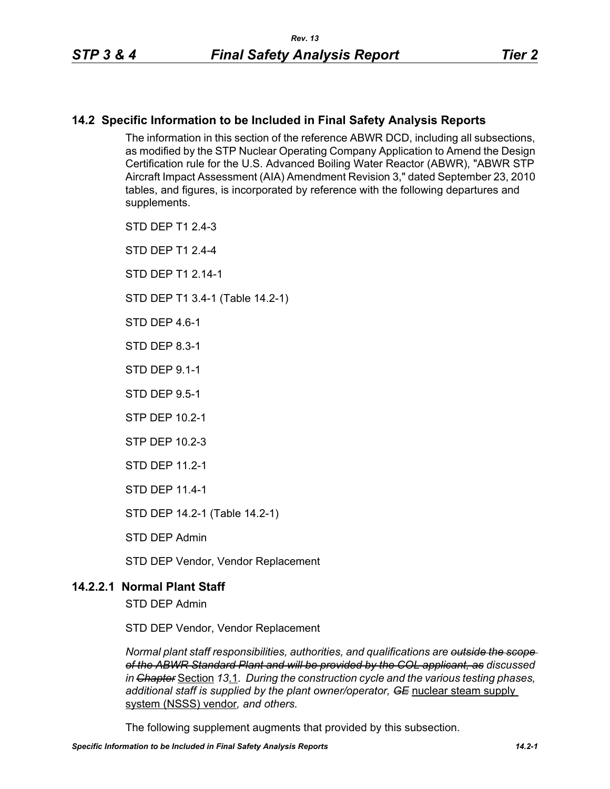# **14.2 Specific Information to be Included in Final Safety Analysis Reports**

The information in this section of the reference ABWR DCD, including all subsections, as modified by the STP Nuclear Operating Company Application to Amend the Design Certification rule for the U.S. Advanced Boiling Water Reactor (ABWR), "ABWR STP Aircraft Impact Assessment (AIA) Amendment Revision 3," dated September 23, 2010 tables, and figures, is incorporated by reference with the following departures and supplements.

STD DEP T1 2.4-3

STD DEP T1 2.4-4

STD DFP T1 2 14-1

STD DEP T1 3.4-1 (Table 14.2-1)

STD DFP 46-1

STD DEP 8.3-1

STD DEP 9.1-1

STD DEP 9.5-1

STP DEP 10.2-1

STP DEP 10.2-3

STD DEP 11.2-1

STD DEP 11.4-1

STD DEP 14.2-1 (Table 14.2-1)

STD DEP Admin

STD DEP Vendor, Vendor Replacement

## **14.2.2.1 Normal Plant Staff**

STD DEP Admin

STD DEP Vendor, Vendor Replacement

*Normal plant staff responsibilities, authorities, and qualifications are outside the scope of the ABWR Standard Plant and will be provided by the COL applicant, as discussed in Chapter* Section *13*.1*. During the construction cycle and the various testing phases, additional staff is supplied by the plant owner/operator, GE* nuclear steam supply system (NSSS) vendor*, and others.* 

The following supplement augments that provided by this subsection.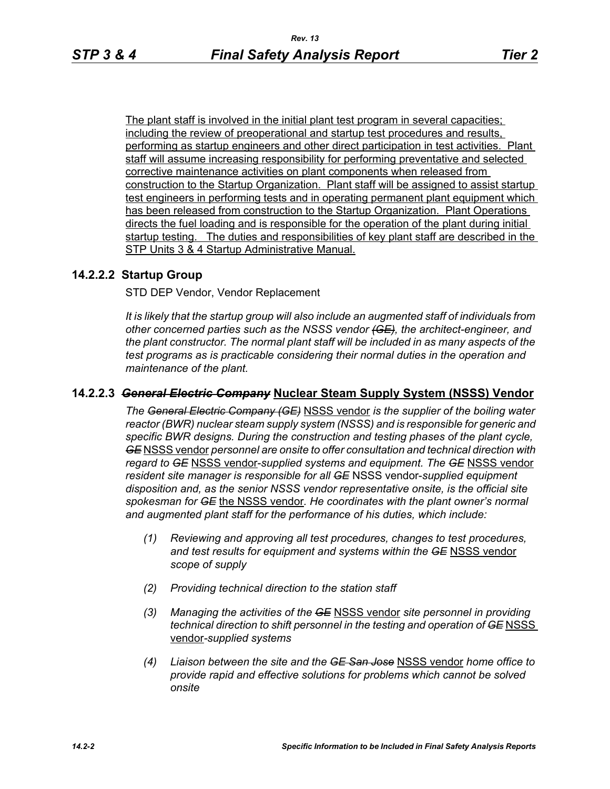The plant staff is involved in the initial plant test program in several capacities; including the review of preoperational and startup test procedures and results, performing as startup engineers and other direct participation in test activities. Plant staff will assume increasing responsibility for performing preventative and selected corrective maintenance activities on plant components when released from construction to the Startup Organization. Plant staff will be assigned to assist startup test engineers in performing tests and in operating permanent plant equipment which has been released from construction to the Startup Organization. Plant Operations directs the fuel loading and is responsible for the operation of the plant during initial startup testing. The duties and responsibilities of key plant staff are described in the STP Units 3 & 4 Startup Administrative Manual.

## **14.2.2.2 Startup Group**

STD DEP Vendor, Vendor Replacement

*It is likely that the startup group will also include an augmented staff of individuals from other concerned parties such as the NSSS vendor (GE), the architect-engineer, and the plant constructor. The normal plant staff will be included in as many aspects of the test programs as is practicable considering their normal duties in the operation and maintenance of the plant.*

## **14.2.2.3** *General Electric Company* **Nuclear Steam Supply System (NSSS) Vendor**

*The General Electric Company (GE)* NSSS vendor *is the supplier of the boiling water reactor (BWR) nuclear steam supply system (NSSS) and is responsible for generic and specific BWR designs. During the construction and testing phases of the plant cycle, GE* NSSS vendor *personnel are onsite to offer consultation and technical direction with regard to GE* NSSS vendor-*supplied systems and equipment. The GE* NSSS vendor *resident site manager is responsible for all GE* NSSS vendor-*supplied equipment disposition and, as the senior NSSS vendor representative onsite, is the official site spokesman for GE* the NSSS vendor*. He coordinates with the plant owner's normal and augmented plant staff for the performance of his duties, which include:*

- *(1) Reviewing and approving all test procedures, changes to test procedures, and test results for equipment and systems within the GE* NSSS vendor *scope of supply*
- *(2) Providing technical direction to the station staff*
- *(3) Managing the activities of the GE* NSSS vendor *site personnel in providing technical direction to shift personnel in the testing and operation of GE NSSS* vendor*-supplied systems*
- *(4) Liaison between the site and the GE San Jose* NSSS vendor *home office to provide rapid and effective solutions for problems which cannot be solved onsite*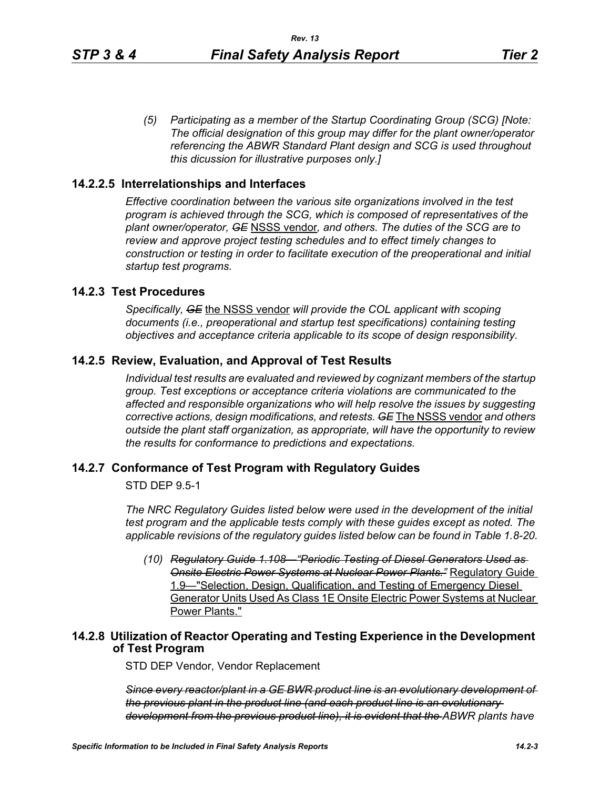*(5) Participating as a member of the Startup Coordinating Group (SCG) [Note: The official designation of this group may differ for the plant owner/operator referencing the ABWR Standard Plant design and SCG is used throughout this dicussion for illustrative purposes only.]*

### **14.2.2.5 Interrelationships and Interfaces**

*Effective coordination between the various site organizations involved in the test program is achieved through the SCG, which is composed of representatives of the plant owner/operator, GE* NSSS vendor*, and others. The duties of the SCG are to review and approve project testing schedules and to effect timely changes to construction or testing in order to facilitate execution of the preoperational and initial startup test programs.*

## **14.2.3 Test Procedures**

*Specifically, GE* the NSSS vendor *will provide the COL applicant with scoping documents (i.e., preoperational and startup test specifications) containing testing objectives and acceptance criteria applicable to its scope of design responsibility.*

### **14.2.5 Review, Evaluation, and Approval of Test Results**

*Individual test results are evaluated and reviewed by cognizant members of the startup group. Test exceptions or acceptance criteria violations are communicated to the affected and responsible organizations who will help resolve the issues by suggesting corrective actions, design modifications, and retests. GE* The NSSS vendor *and others outside the plant staff organization, as appropriate, will have the opportunity to review the results for conformance to predictions and expectations.*

### **14.2.7 Conformance of Test Program with Regulatory Guides**

STD DEP 9.5-1

*The NRC Regulatory Guides listed below were used in the development of the initial test program and the applicable tests comply with these guides except as noted. The applicable revisions of the regulatory guides listed below can be found in Table 1.8-20.*

*(10) Regulatory Guide 1.108—"Periodic Testing of Diesel Generators Used as Onsite Electric Power Systems at Nuclear Power Plants."* Regulatory Guide 1.9—"Selection, Design, Qualification, and Testing of Emergency Diesel Generator Units Used As Class 1E Onsite Electric Power Systems at Nuclear Power Plants."

## **14.2.8 Utilization of Reactor Operating and Testing Experience in the Development of Test Program**

STD DEP Vendor, Vendor Replacement

*Since every reactor/plant in a GE BWR product line is an evolutionary development of the previous plant in the product line (and each product line is an evolutionary development from the previous product line), it is evident that the ABWR plants have*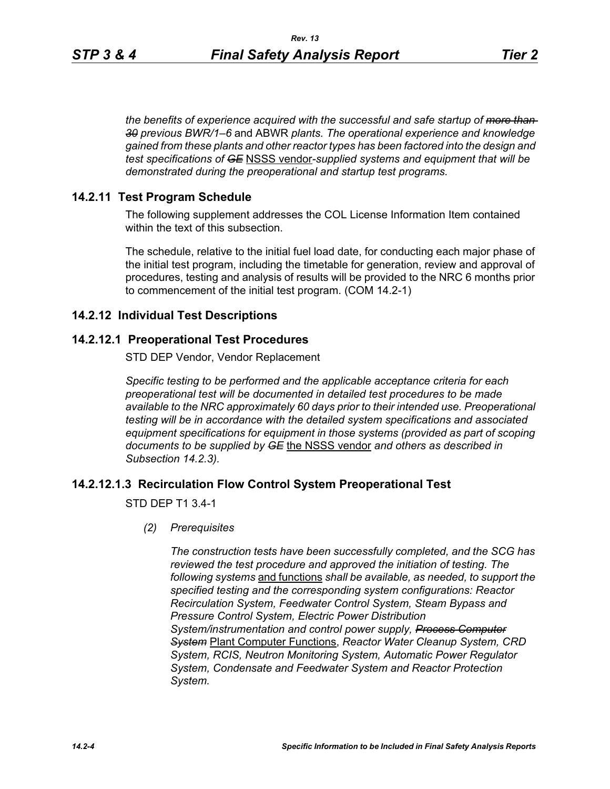*the benefits of experience acquired with the successful and safe startup of more than 30 previous BWR/1–6* and ABWR *plants. The operational experience and knowledge gained from these plants and other reactor types has been factored into the design and test specifications of GE* NSSS vendor*-supplied systems and equipment that will be demonstrated during the preoperational and startup test programs.*

## **14.2.11 Test Program Schedule**

The following supplement addresses the COL License Information Item contained within the text of this subsection.

The schedule, relative to the initial fuel load date, for conducting each major phase of the initial test program, including the timetable for generation, review and approval of procedures, testing and analysis of results will be provided to the NRC 6 months prior to commencement of the initial test program. (COM 14.2-1)

## **14.2.12 Individual Test Descriptions**

## **14.2.12.1 Preoperational Test Procedures**

STD DEP Vendor, Vendor Replacement

*Specific testing to be performed and the applicable acceptance criteria for each preoperational test will be documented in detailed test procedures to be made available to the NRC approximately 60 days prior to their intended use. Preoperational testing will be in accordance with the detailed system specifications and associated equipment specifications for equipment in those systems (provided as part of scoping documents to be supplied by GE* the NSSS vendor *and others as described in Subsection 14.2.3).*

## **14.2.12.1.3 Recirculation Flow Control System Preoperational Test**

STD DEP T1 3.4-1

*(2) Prerequisites*

*The construction tests have been successfully completed, and the SCG has reviewed the test procedure and approved the initiation of testing. The following systems* and functions *shall be available, as needed, to support the specified testing and the corresponding system configurations: Reactor Recirculation System, Feedwater Control System, Steam Bypass and Pressure Control System, Electric Power Distribution System/instrumentation and control power supply, Process Computer System* Plant Computer Functions, *Reactor Water Cleanup System, CRD System, RCIS, Neutron Monitoring System, Automatic Power Regulator System, Condensate and Feedwater System and Reactor Protection System.*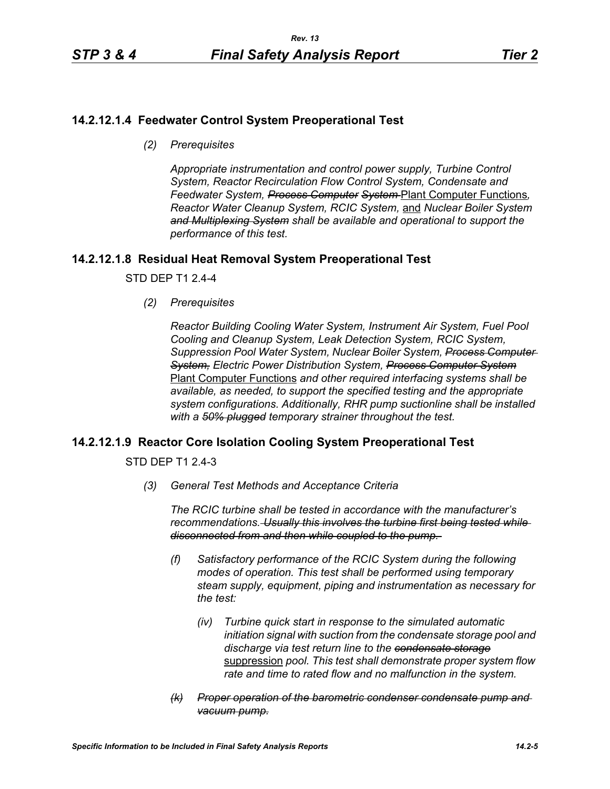# **14.2.12.1.4 Feedwater Control System Preoperational Test**

*(2) Prerequisites*

*Appropriate instrumentation and control power supply, Turbine Control System, Reactor Recirculation Flow Control System, Condensate and Feedwater System, Process Computer System* Plant Computer Functions*, Reactor Water Cleanup System, RCIC System,* and *Nuclear Boiler System and Multiplexing System shall be available and operational to support the performance of this test.*

# **14.2.12.1.8 Residual Heat Removal System Preoperational Test**

STD DEP T1 2.4-4

*(2) Prerequisites*

*Reactor Building Cooling Water System, Instrument Air System, Fuel Pool Cooling and Cleanup System, Leak Detection System, RCIC System, Suppression Pool Water System, Nuclear Boiler System, Process Computer System, Electric Power Distribution System, Process Computer System* Plant Computer Functions *and other required interfacing systems shall be available, as needed, to support the specified testing and the appropriate system configurations. Additionally, RHR pump suctionline shall be installed with a 50% plugged temporary strainer throughout the test.*

## **14.2.12.1.9 Reactor Core Isolation Cooling System Preoperational Test**

STD DEP T1 2.4-3

*(3) General Test Methods and Acceptance Criteria*

*The RCIC turbine shall be tested in accordance with the manufacturer's recommendations. Usually this involves the turbine first being tested while disconnected from and then while coupled to the pump.* 

- *(f) Satisfactory performance of the RCIC System during the following modes of operation. This test shall be performed using temporary steam supply, equipment, piping and instrumentation as necessary for the test:*
	- *(iv) Turbine quick start in response to the simulated automatic initiation signal with suction from the condensate storage pool and discharge via test return line to the condensate storage* suppression *pool. This test shall demonstrate proper system flow rate and time to rated flow and no malfunction in the system.*
- *(k) Proper operation of the barometric condenser condensate pump and vacuum pump.*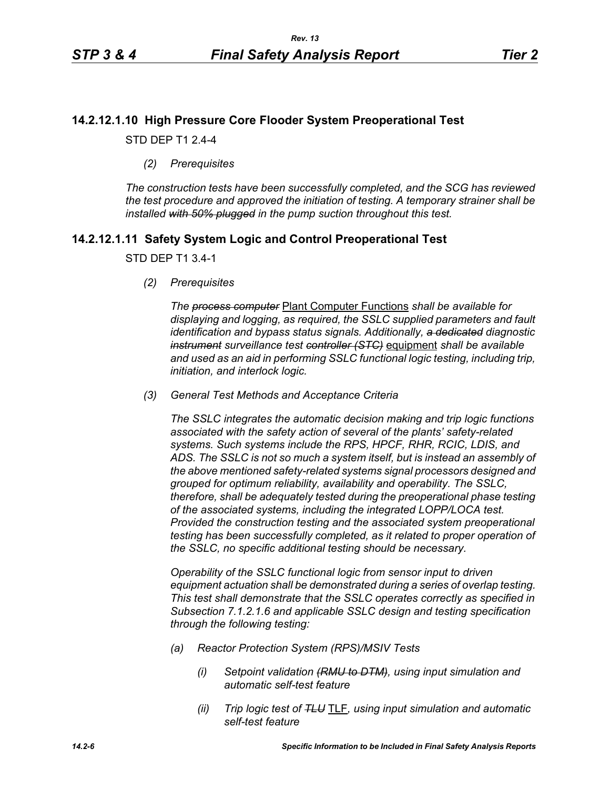# **14.2.12.1.10 High Pressure Core Flooder System Preoperational Test**

STD DEP T1 2.4-4

*(2) Prerequisites*

*The construction tests have been successfully completed, and the SCG has reviewed the test procedure and approved the initiation of testing. A temporary strainer shall be installed with 50% plugged in the pump suction throughout this test.*

# **14.2.12.1.11 Safety System Logic and Control Preoperational Test**

### STD DEP T1 3.4-1

*(2) Prerequisites*

*The process computer* Plant Computer Functions *shall be available for displaying and logging, as required, the SSLC supplied parameters and fault identification and bypass status signals. Additionally, a dedicated diagnostic instrument surveillance test controller (STC)* equipment *shall be available and used as an aid in performing SSLC functional logic testing, including trip, initiation, and interlock logic.*

*(3) General Test Methods and Acceptance Criteria*

*The SSLC integrates the automatic decision making and trip logic functions associated with the safety action of several of the plants' safety-related systems. Such systems include the RPS, HPCF, RHR, RCIC, LDIS, and ADS. The SSLC is not so much a system itself, but is instead an assembly of the above mentioned safety-related systems signal processors designed and grouped for optimum reliability, availability and operability. The SSLC, therefore, shall be adequately tested during the preoperational phase testing of the associated systems, including the integrated LOPP/LOCA test. Provided the construction testing and the associated system preoperational testing has been successfully completed, as it related to proper operation of the SSLC, no specific additional testing should be necessary.*

*Operability of the SSLC functional logic from sensor input to driven equipment actuation shall be demonstrated during a series of overlap testing. This test shall demonstrate that the SSLC operates correctly as specified in Subsection 7.1.2.1.6 and applicable SSLC design and testing specification through the following testing:*

- *(a) Reactor Protection System (RPS)/MSIV Tests*
	- *(i) Setpoint validation (RMU to DTM), using input simulation and automatic self-test feature*
	- *(ii) Trip logic test of TLU* TLF*, using input simulation and automatic self-test feature*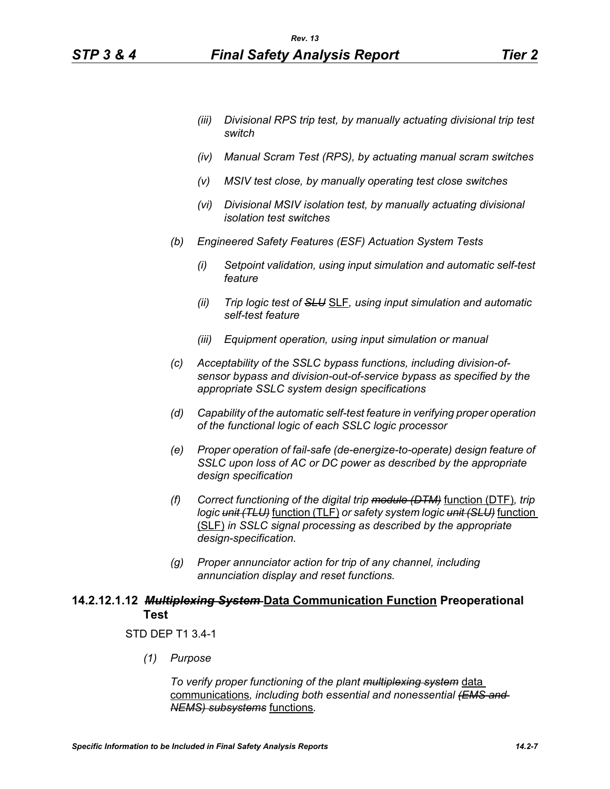- *(iv) Manual Scram Test (RPS), by actuating manual scram switches*
- *(v) MSIV test close, by manually operating test close switches*
- *(vi) Divisional MSIV isolation test, by manually actuating divisional isolation test switches*
- *(b) Engineered Safety Features (ESF) Actuation System Tests*
	- *(i) Setpoint validation, using input simulation and automatic self-test feature*
	- *(ii) Trip logic test of SLU* SLF*, using input simulation and automatic self-test feature*
	- *(iii) Equipment operation, using input simulation or manual*
- *(c) Acceptability of the SSLC bypass functions, including division-ofsensor bypass and division-out-of-service bypass as specified by the appropriate SSLC system design specifications*
- *(d) Capability of the automatic self-test feature in verifying proper operation of the functional logic of each SSLC logic processor*
- *(e) Proper operation of fail-safe (de-energize-to-operate) design feature of SSLC upon loss of AC or DC power as described by the appropriate design specification*
- *(f) Correct functioning of the digital trip module (DTM)* function (DTF)*, trip logic unit (TLU)* function (TLF) *or safety system logic unit (SLU)* function (SLF) *in SSLC signal processing as described by the appropriate design-specification.*
- *(g) Proper annunciator action for trip of any channel, including annunciation display and reset functions.*

## **14.2.12.1.12** *Multiplexing System* **Data Communication Function Preoperational Test**

### STD DEP T1 3.4-1

*(1) Purpose*

*To verify proper functioning of the plant multiplexing system* data communications*, including both essential and nonessential (EMS and NEMS) subsystems* functions*.*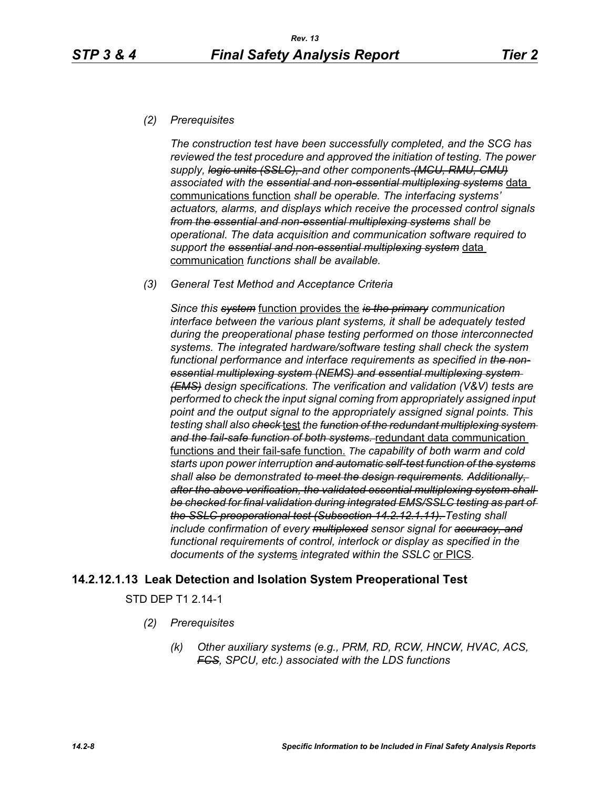### *(2) Prerequisites*

*The construction test have been successfully completed, and the SCG has reviewed the test procedure and approved the initiation of testing. The power supply, logic units (SSLC), and other component*s *(MCU, RMU, CMU) associated with the essential and non-essential multiplexing systems* data communications function *shall be operable. The interfacing systems' actuators, alarms, and displays which receive the processed control signals from the essential and non-essential multiplexing systems shall be operational. The data acquisition and communication software required to support the essential and non-essential multiplexing system* data communication *functions shall be available.*

*(3) General Test Method and Acceptance Criteria*

*Since this system* function provides the *is the primary communication interface between the various plant systems, it shall be adequately tested during the preoperational phase testing performed on those interconnected systems. The integrated hardware/software testing shall check the system functional performance and interface requirements as specified in the nonessential multiplexing system (NEMS) and essential multiplexing system (EMS) design specifications. The verification and validation (V&V) tests are performed to check the input signal coming from appropriately assigned input point and the output signal to the appropriately assigned signal points. This testing shall also check* test *the function of the redundant multiplexing system and the fail-safe function of both systems.* redundant data communication functions and their fail-safe function. *The capability of both warm and cold starts upon power interruption and automatic self-test function of the systems shall also be demonstrated to meet the design requirements. Additionally, after the above verification, the validated essential multiplexing system shall be checked for final validation during integrated EMS/SSLC testing as part of the SSLC preoperational test (Subsection 14.2.12.1.11). Testing shall include confirmation of every multiplexed sensor signal for accuracy, and functional requirements of control, interlock or display as specified in the documents of the system*s *integrated within the SSLC* or PICS*.*

## **14.2.12.1.13 Leak Detection and Isolation System Preoperational Test**

STD DEP T1 2.14-1

- *(2) Prerequisites*
	- *(k) Other auxiliary systems (e.g., PRM, RD, RCW, HNCW, HVAC, ACS, FCS, SPCU, etc.) associated with the LDS functions*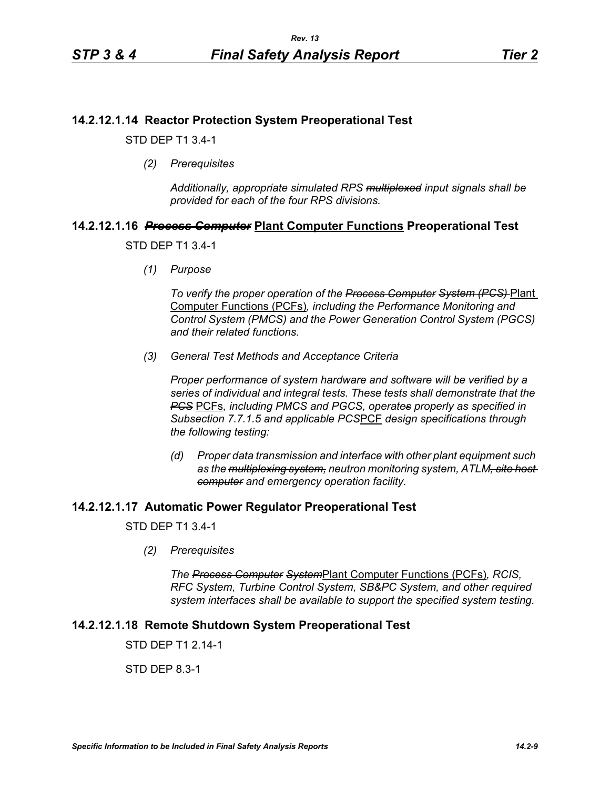## **14.2.12.1.14 Reactor Protection System Preoperational Test**

STD DEP T1 3.4-1

*(2) Prerequisites*

*Additionally, appropriate simulated RPS multiplexed input signals shall be provided for each of the four RPS divisions.*

# **14.2.12.1.16** *Process Computer* **Plant Computer Functions Preoperational Test**

### STD DEP T1 3.4-1

*(1) Purpose*

*To verify the proper operation of the Process Computer System (PCS)* Plant Computer Functions (PCFs)*, including the Performance Monitoring and Control System (PMCS) and the Power Generation Control System (PGCS) and their related functions.*

*(3) General Test Methods and Acceptance Criteria*

*Proper performance of system hardware and software will be verified by a series of individual and integral tests. These tests shall demonstrate that the PCS* PCFs*, including PMCS and PGCS, operates properly as specified in Subsection 7.7.1.5 and applicable PCS*PCF *design specifications through the following testing:*

*(d) Proper data transmission and interface with other plant equipment such as the multiplexing system, neutron monitoring system, ATLM, site host computer and emergency operation facility.*

## **14.2.12.1.17 Automatic Power Regulator Preoperational Test**

STD DEP T1 3.4-1

*(2) Prerequisites*

*The Process Computer System*Plant Computer Functions (PCFs)*, RCIS, RFC System, Turbine Control System, SB&PC System, and other required system interfaces shall be available to support the specified system testing.*

## **14.2.12.1.18 Remote Shutdown System Preoperational Test**

STD DFP T1 2 14-1

STD DEP 8.3-1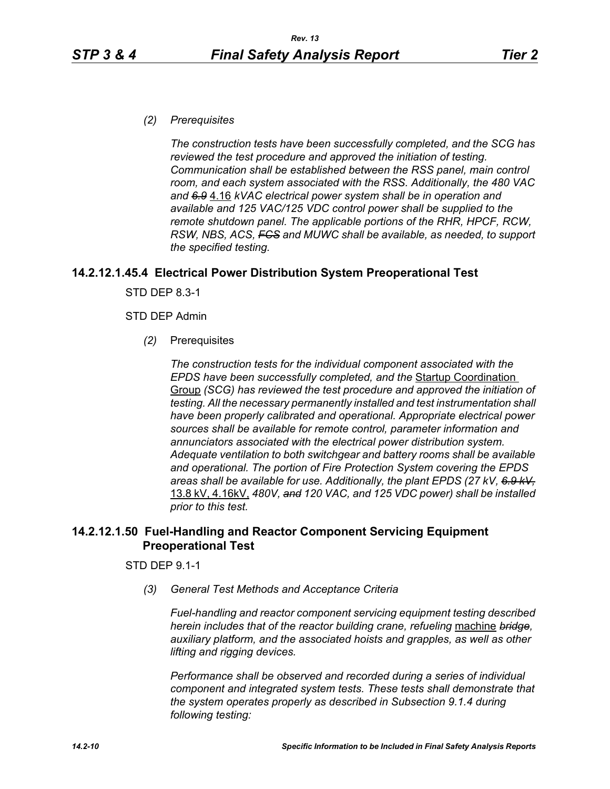*(2) Prerequisites*

*The construction tests have been successfully completed, and the SCG has reviewed the test procedure and approved the initiation of testing. Communication shall be established between the RSS panel, main control room, and each system associated with the RSS. Additionally, the 480 VAC and 6.9* 4.16 *kVAC electrical power system shall be in operation and available and 125 VAC/125 VDC control power shall be supplied to the remote shutdown panel. The applicable portions of the RHR, HPCF, RCW, RSW, NBS, ACS, FCS and MUWC shall be available, as needed, to support the specified testing.*

## **14.2.12.1.45.4 Electrical Power Distribution System Preoperational Test**

STD DEP 8.3-1

### STD DEP Admin

*(2)* Prerequisites

*The construction tests for the individual component associated with the EPDS have been successfully completed, and the* Startup Coordination Group *(SCG) has reviewed the test procedure and approved the initiation of testing. All the necessary permanently installed and test instrumentation shall have been properly calibrated and operational. Appropriate electrical power sources shall be available for remote control, parameter information and annunciators associated with the electrical power distribution system. Adequate ventilation to both switchgear and battery rooms shall be available and operational. The portion of Fire Protection System covering the EPDS areas shall be available for use. Additionally, the plant EPDS (27 kV, 6.9 kV,* 13.8 kV, 4.16kV, *480V, and 120 VAC, and 125 VDC power) shall be installed prior to this test.*

# **14.2.12.1.50 Fuel-Handling and Reactor Component Servicing Equipment Preoperational Test**

### STD DEP 9.1-1

*(3) General Test Methods and Acceptance Criteria*

*Fuel-handling and reactor component servicing equipment testing described herein includes that of the reactor building crane, refueling* machine *bridge, auxiliary platform, and the associated hoists and grapples, as well as other lifting and rigging devices.* 

*Performance shall be observed and recorded during a series of individual component and integrated system tests. These tests shall demonstrate that the system operates properly as described in Subsection 9.1.4 during following testing:*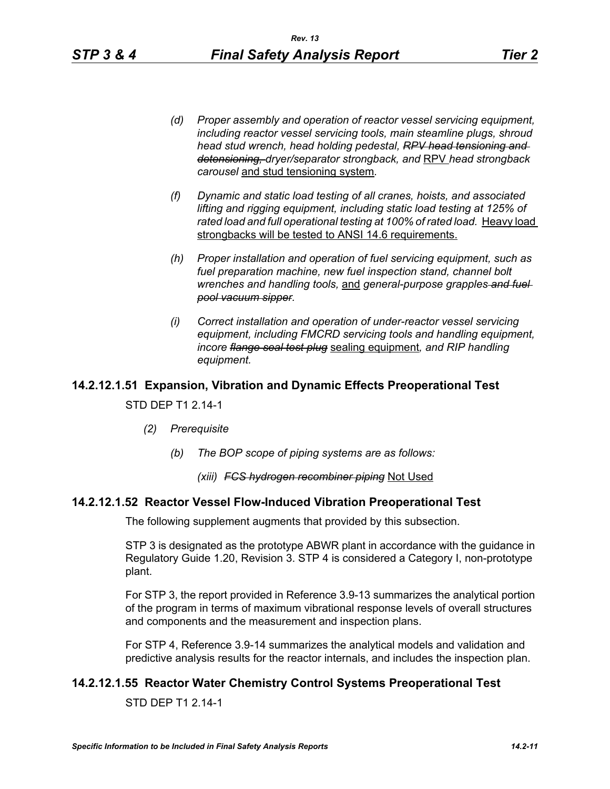- *(d) Proper assembly and operation of reactor vessel servicing equipment, including reactor vessel servicing tools, main steamline plugs, shroud head stud wrench, head holding pedestal, RPV head tensioning and detensioning, dryer/separator strongback, and* RPV *head strongback carousel* and stud tensioning system*.*
- *(f) Dynamic and static load testing of all cranes, hoists, and associated lifting and rigging equipment, including static load testing at 125% of*  rated load and full operational testing at 100% of rated load. Heavy load strongbacks will be tested to ANSI 14.6 requirements.
- *(h) Proper installation and operation of fuel servicing equipment, such as fuel preparation machine, new fuel inspection stand, channel bolt wrenches and handling tools,* and *general-purpose grapples and fuel pool vacuum sipper.*
- *(i) Correct installation and operation of under-reactor vessel servicing equipment, including FMCRD servicing tools and handling equipment, incore flange seal test plug* sealing equipment*, and RIP handling equipment.*

# **14.2.12.1.51 Expansion, Vibration and Dynamic Effects Preoperational Test**

### STD DEP T1 2.14-1

- *(2) Prerequisite*
	- *(b) The BOP scope of piping systems are as follows:*

## *(xiii) FCS hydrogen recombiner piping* Not Used

## **14.2.12.1.52 Reactor Vessel Flow-Induced Vibration Preoperational Test**

The following supplement augments that provided by this subsection.

STP 3 is designated as the prototype ABWR plant in accordance with the guidance in Regulatory Guide 1.20, Revision 3. STP 4 is considered a Category I, non-prototype plant.

For STP 3, the report provided in Reference 3.9-13 summarizes the analytical portion of the program in terms of maximum vibrational response levels of overall structures and components and the measurement and inspection plans.

For STP 4, Reference 3.9-14 summarizes the analytical models and validation and predictive analysis results for the reactor internals, and includes the inspection plan.

# **14.2.12.1.55 Reactor Water Chemistry Control Systems Preoperational Test**

STD DEP T1 2.14-1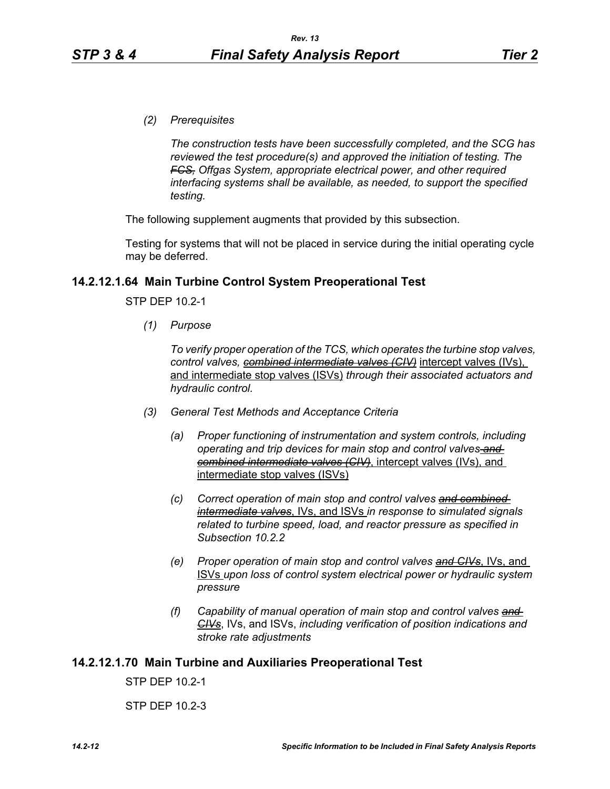*(2) Prerequisites*

*The construction tests have been successfully completed, and the SCG has reviewed the test procedure(s) and approved the initiation of testing. The FCS, Offgas System, appropriate electrical power, and other required interfacing systems shall be available, as needed, to support the specified testing.*

The following supplement augments that provided by this subsection.

Testing for systems that will not be placed in service during the initial operating cycle may be deferred.

### **14.2.12.1.64 Main Turbine Control System Preoperational Test**

STP DEP 10.2-1

*(1) Purpose*

*To verify proper operation of the TCS, which operates the turbine stop valves, control valves, combined intermediate valves (CIV)* intercept valves (IVs), and intermediate stop valves (ISVs) *through their associated actuators and hydraulic control.*

- *(3) General Test Methods and Acceptance Criteria*
	- *(a) Proper functioning of instrumentation and system controls, including operating and trip devices for main stop and control valves and combined intermediate valves (CIV)*, intercept valves (IVs), and intermediate stop valves (ISVs)
	- *(c) Correct operation of main stop and control valves and combined intermediate valves*, IVs, and ISVs *in response to simulated signals related to turbine speed, load, and reactor pressure as specified in Subsection 10.2.2*
	- *(e) Proper operation of main stop and control valves and CIVs*, IVs, and ISVs *upon loss of control system electrical power or hydraulic system pressure*
	- *(f) Capability of manual operation of main stop and control valves and CIVs*, IVs, and ISVs, *including verification of position indications and stroke rate adjustments*

### **14.2.12.1.70 Main Turbine and Auxiliaries Preoperational Test**

STP DEP 10.2-1

STP DEP 10.2-3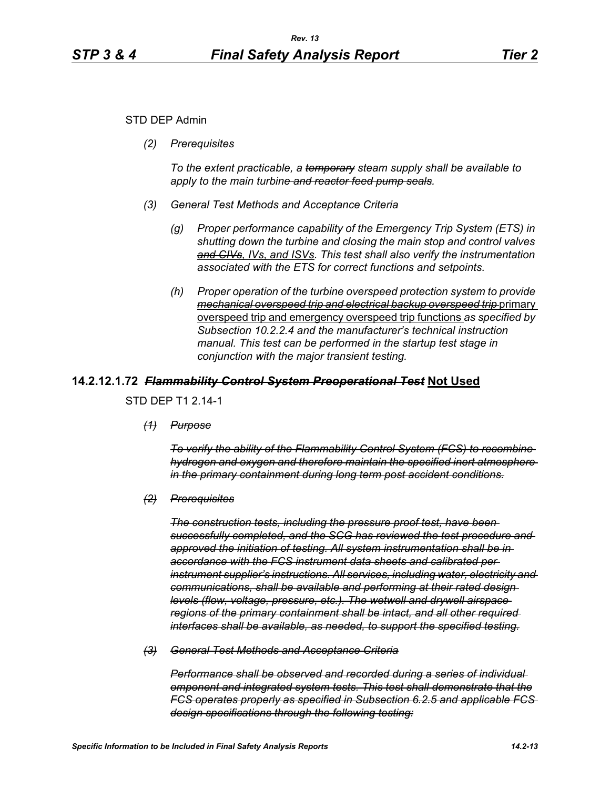### STD DEP Admin

*(2) Prerequisites*

*To the extent practicable, a temporary steam supply shall be available to apply to the main turbine and reactor feed pump seals.*

- *(3) General Test Methods and Acceptance Criteria*
	- *(g) Proper performance capability of the Emergency Trip System (ETS) in shutting down the turbine and closing the main stop and control valves and CIVs, IVs, and ISVs. This test shall also verify the instrumentation associated with the ETS for correct functions and setpoints.*
	- *(h) Proper operation of the turbine overspeed protection system to provide mechanical overspeed trip and electrical backup overspeed trip* primary overspeed trip and emergency overspeed trip functions *as specified by Subsection 10.2.2.4 and the manufacturer's technical instruction manual. This test can be performed in the startup test stage in conjunction with the major transient testing.*

### **14.2.12.1.72** *Flammability Control System Preoperational Test* **Not Used**

STD DEP T1 2.14-1

*(1) Purpose*

*To verify the ability of the Flammability Control System (FCS) to recombine hydrogen and oxygen and therefore maintain the specified inert atmosphere in the primary containment during long term post accident conditions.*

*(2) Prerequisites*

*The construction tests, including the pressure proof test, have been successfully completed, and the SCG has reviewed the test procedure and approved the initiation of testing. All system instrumentation shall be in accordance with the FCS instrument data sheets and calibrated per instrument supplier's instructions. All services, including water, electricity and communications, shall be available and performing at their rated design levels (flow, voltage, pressure, etc.). The wetwell and drywell airspace regions of the primary containment shall be intact, and all other required interfaces shall be available, as needed, to support the specified testing.*

*(3) General Test Methods and Acceptance Criteria*

*Performance shall be observed and recorded during a series of individual omponent and integrated system tests. This test shall demonstrate that the FCS operates properly as specified in Subsection 6.2.5 and applicable FCS design specifications through the following testing:*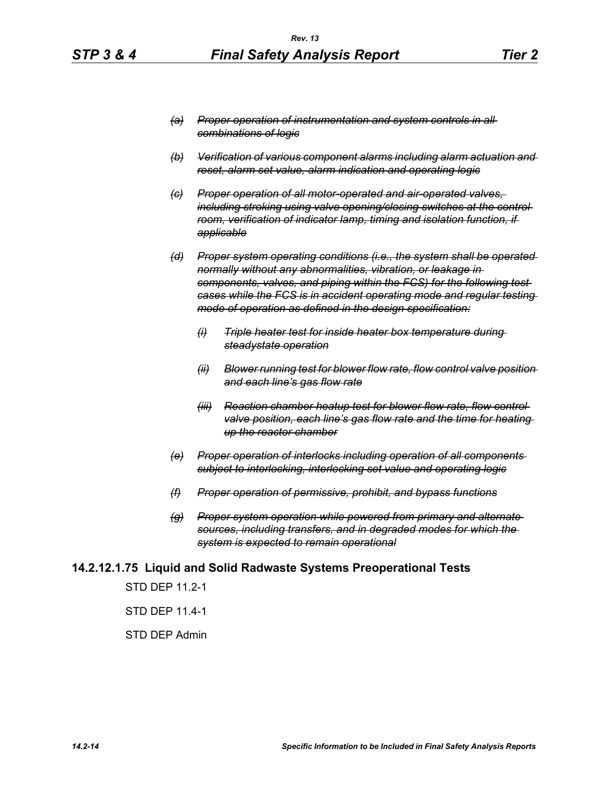- *(b) Verification of various component alarms including alarm actuation and reset, alarm set value, alarm indication and operating logic*
- *(c) Proper operation of all motor-operated and air-operated valves, including stroking using valve opening/closing switches at the control room, verification of indicator lamp, timing and isolation function, if applicable*
- *(d) Proper system operating conditions (i.e., the system shall be operated normally without any abnormalities, vibration, or leakage in components, valves, and piping within the FCS) for the following test cases while the FCS is in accident operating mode and regular testing mode of operation as defined in the design specification:*
	- *(i) Triple heater test for inside heater box temperature during steadystate operation*
	- *(ii) Blower running test for blower flow rate, flow control valve position and each line's gas flow rate*
	- *(iii) Reaction chamber heatup test for blower flow rate, flow control valve position, each line's gas flow rate and the time for heating up the reactor chamber*
- *(e) Proper operation of interlocks including operation of all components subject to interlocking, interlocking set value and operating logic*
- *(f) Proper operation of permissive, prohibit, and bypass functions*
- *(g) Proper system operation while powered from primary and alternate sources, including transfers, and in degraded modes for which the system is expected to remain operational*

### **14.2.12.1.75 Liquid and Solid Radwaste Systems Preoperational Tests**

STD DEP 11.2-1

STD DEP 11.4-1

#### STD DEP Admin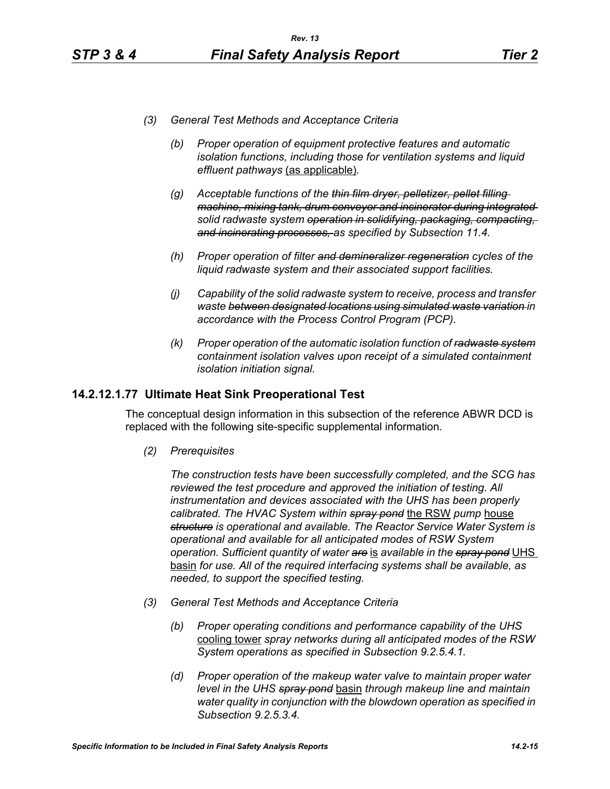- *(3) General Test Methods and Acceptance Criteria*
	- *(b) Proper operation of equipment protective features and automatic isolation functions, including those for ventilation systems and liquid effluent pathways* (as applicable)*.*
	- *(g) Acceptable functions of the thin film dryer, pelletizer, pellet filling machine, mixing tank, drum conveyor and incinerator during integrated solid radwaste system operation in solidifying, packaging, compacting, and incinerating processes, as specified by Subsection 11.4.*
	- *(h) Proper operation of filter and demineralizer regeneration cycles of the liquid radwaste system and their associated support facilities.*
	- *(j) Capability of the solid radwaste system to receive, process and transfer waste between designated locations using simulated waste variation in accordance with the Process Control Program (PCP).*
	- *(k) Proper operation of the automatic isolation function of radwaste system containment isolation valves upon receipt of a simulated containment isolation initiation signal.*

## **14.2.12.1.77 Ultimate Heat Sink Preoperational Test**

The conceptual design information in this subsection of the reference ABWR DCD is replaced with the following site-specific supplemental information.

*(2) Prerequisites*

*The construction tests have been successfully completed, and the SCG has reviewed the test procedure and approved the initiation of testing. All instrumentation and devices associated with the UHS has been properly calibrated. The HVAC System within spray pond* the RSW *pump* house *structure is operational and available. The Reactor Service Water System is operational and available for all anticipated modes of RSW System operation. Sufficient quantity of water are* is *available in the spray pond* UHS basin *for use. All of the required interfacing systems shall be available, as needed, to support the specified testing.*

- *(3) General Test Methods and Acceptance Criteria*
	- *(b) Proper operating conditions and performance capability of the UHS*  cooling tower *spray networks during all anticipated modes of the RSW System operations as specified in Subsection 9.2.5.4.1.*
	- *(d) Proper operation of the makeup water valve to maintain proper water level in the UHS spray pond* basin *through makeup line and maintain water quality in conjunction with the blowdown operation as specified in Subsection 9.2.5.3.4.*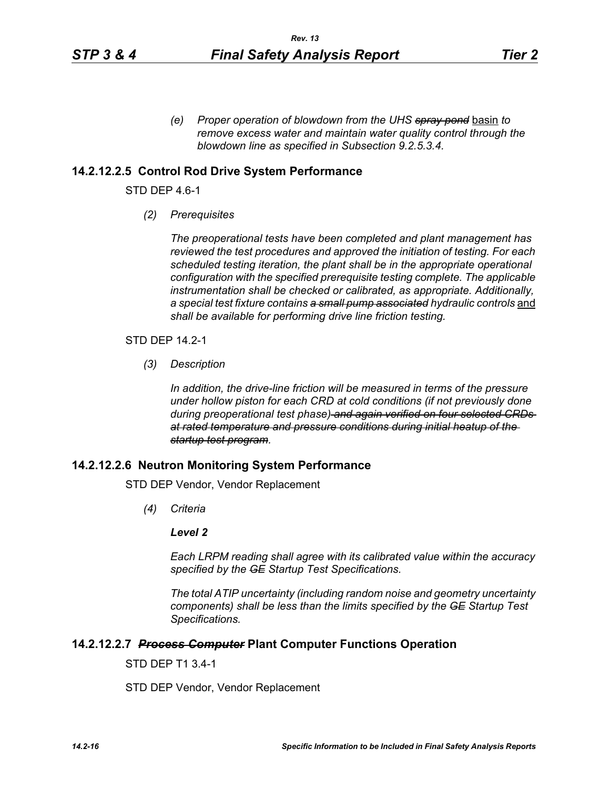*(e) Proper operation of blowdown from the UHS spray pond* basin *to remove excess water and maintain water quality control through the blowdown line as specified in Subsection 9.2.5.3.4.* 

### **14.2.12.2.5 Control Rod Drive System Performance**

STD DEP 4.6-1

*(2) Prerequisites*

*The preoperational tests have been completed and plant management has reviewed the test procedures and approved the initiation of testing. For each scheduled testing iteration, the plant shall be in the appropriate operational configuration with the specified prerequisite testing complete. The applicable instrumentation shall be checked or calibrated, as appropriate. Additionally,*  a special test fixture contains a small pump associated hydraulic controls and *shall be available for performing drive line friction testing.*

STD DEP 14.2-1

*(3) Description*

*In addition, the drive-line friction will be measured in terms of the pressure under hollow piston for each CRD at cold conditions (if not previously done during preoperational test phase) and again verified on four selected CRDs at rated temperature and pressure conditions during initial heatup of the startup test program.*

### **14.2.12.2.6 Neutron Monitoring System Performance**

STD DEP Vendor, Vendor Replacement

*(4) Criteria*

### *Level 2*

*Each LRPM reading shall agree with its calibrated value within the accuracy specified by the GE Startup Test Specifications.*

*The total ATIP uncertainty (including random noise and geometry uncertainty components) shall be less than the limits specified by the GE Startup Test Specifications.*

#### **14.2.12.2.7** *Process Computer* **Plant Computer Functions Operation**

STD DEP T1 3.4-1

STD DEP Vendor, Vendor Replacement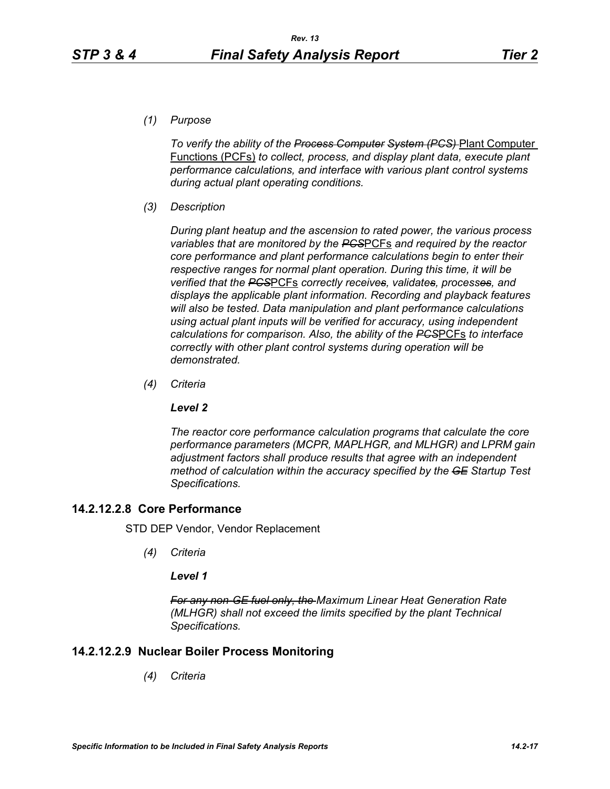*(1) Purpose*

*To verify the ability of the Process Computer System (PCS)* Plant Computer Functions (PCFs) *to collect, process, and display plant data, execute plant performance calculations, and interface with various plant control systems during actual plant operating conditions.*

*(3) Description*

*During plant heatup and the ascension to rated power, the various process variables that are monitored by the PCS*PCFs *and required by the reactor core performance and plant performance calculations begin to enter their respective ranges for normal plant operation. During this time, it will be verified that the PCS*PCFs *correctly receives, validates, processes, and displays the applicable plant information. Recording and playback features will also be tested. Data manipulation and plant performance calculations using actual plant inputs will be verified for accuracy, using independent calculations for comparison. Also, the ability of the PCS*PCFs *to interface correctly with other plant control systems during operation will be demonstrated.*

*(4) Criteria*

### *Level 2*

*The reactor core performance calculation programs that calculate the core performance parameters (MCPR, MAPLHGR, and MLHGR) and LPRM gain adjustment factors shall produce results that agree with an independent method of calculation within the accuracy specified by the GE Startup Test Specifications.*

## **14.2.12.2.8 Core Performance**

STD DEP Vendor, Vendor Replacement

*(4) Criteria*

## *Level 1*

*For any non-GE fuel only, the Maximum Linear Heat Generation Rate (MLHGR) shall not exceed the limits specified by the plant Technical Specifications.*

## **14.2.12.2.9 Nuclear Boiler Process Monitoring**

*(4) Criteria*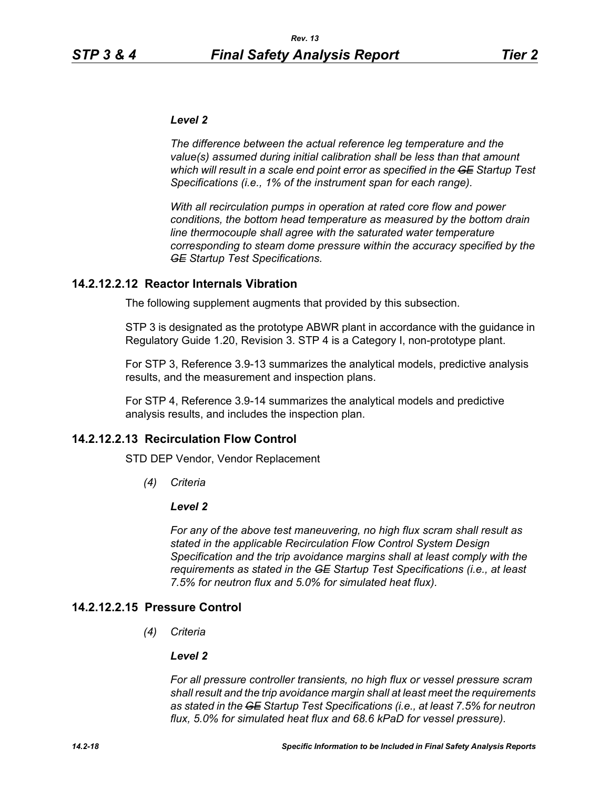### *Level 2*

*The difference between the actual reference leg temperature and the value(s) assumed during initial calibration shall be less than that amount which will result in a scale end point error as specified in the GE Startup Test Specifications (i.e., 1% of the instrument span for each range).* 

*With all recirculation pumps in operation at rated core flow and power conditions, the bottom head temperature as measured by the bottom drain line thermocouple shall agree with the saturated water temperature corresponding to steam dome pressure within the accuracy specified by the GE Startup Test Specifications.*

## **14.2.12.2.12 Reactor Internals Vibration**

The following supplement augments that provided by this subsection.

STP 3 is designated as the prototype ABWR plant in accordance with the guidance in Regulatory Guide 1.20, Revision 3. STP 4 is a Category I, non-prototype plant.

For STP 3, Reference 3.9-13 summarizes the analytical models, predictive analysis results, and the measurement and inspection plans.

For STP 4, Reference 3.9-14 summarizes the analytical models and predictive analysis results, and includes the inspection plan.

## **14.2.12.2.13 Recirculation Flow Control**

STD DEP Vendor, Vendor Replacement

*(4) Criteria*

### *Level 2*

*For any of the above test maneuvering, no high flux scram shall result as stated in the applicable Recirculation Flow Control System Design Specification and the trip avoidance margins shall at least comply with the requirements as stated in the GE Startup Test Specifications (i.e., at least 7.5% for neutron flux and 5.0% for simulated heat flux).*

## **14.2.12.2.15 Pressure Control**

*(4) Criteria*

### *Level 2*

*For all pressure controller transients, no high flux or vessel pressure scram shall result and the trip avoidance margin shall at least meet the requirements as stated in the GE Startup Test Specifications (i.e., at least 7.5% for neutron flux, 5.0% for simulated heat flux and 68.6 kPaD for vessel pressure).*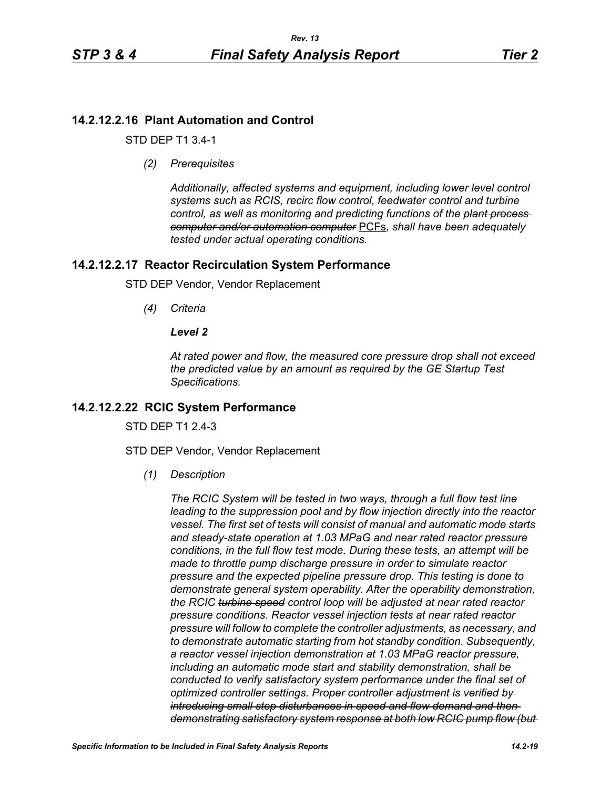# **14.2.12.2.16 Plant Automation and Control**

STD DEP T1 3.4-1

*(2) Prerequisites*

*Additionally, affected systems and equipment, including lower level control systems such as RCIS, recirc flow control, feedwater control and turbine control, as well as monitoring and predicting functions of the plant process computer and/or automation computer* PCFs*, shall have been adequately tested under actual operating conditions.*

## **14.2.12.2.17 Reactor Recirculation System Performance**

STD DEP Vendor, Vendor Replacement

*(4) Criteria*

### *Level 2*

*At rated power and flow, the measured core pressure drop shall not exceed the predicted value by an amount as required by the GE Startup Test Specifications.*

## **14.2.12.2.22 RCIC System Performance**

STD DFP T1 2 4-3

STD DEP Vendor, Vendor Replacement

*(1) Description*

*The RCIC System will be tested in two ways, through a full flow test line leading to the suppression pool and by flow injection directly into the reactor vessel. The first set of tests will consist of manual and automatic mode starts and steady-state operation at 1.03 MPaG and near rated reactor pressure conditions, in the full flow test mode. During these tests, an attempt will be made to throttle pump discharge pressure in order to simulate reactor pressure and the expected pipeline pressure drop. This testing is done to demonstrate general system operability. After the operability demonstration, the RCIC turbine speed control loop will be adjusted at near rated reactor pressure conditions. Reactor vessel injection tests at near rated reactor pressure will follow to complete the controller adjustments, as necessary, and to demonstrate automatic starting from hot standby condition. Subsequently, a reactor vessel injection demonstration at 1.03 MPaG reactor pressure, including an automatic mode start and stability demonstration, shall be conducted to verify satisfactory system performance under the final set of optimized controller settings. Proper controller adjustment is verified by introducing small step disturbances in speed and flow demand and then demonstrating satisfactory system response at both low RCIC pump flow (but*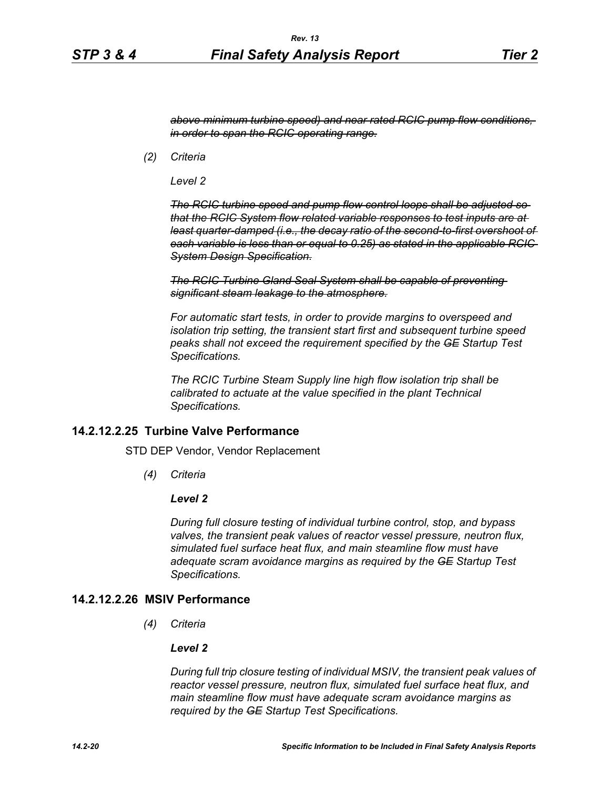*above minimum turbine speed) and near rated RCIC pump flow conditions, in order to span the RCIC operating range.*

*(2) Criteria*

*Level 2*

*The RCIC turbine speed and pump flow control loops shall be adjusted so that the RCIC System flow related variable responses to test inputs are at least quarter-damped (i.e., the decay ratio of the second-to-first overshoot of each variable is less than or equal to 0.25) as stated in the applicable RCIC System Design Specification.*

**The RCIC Turbine Gland Seal System shall be capable of preventing** *significant steam leakage to the atmosphere.*

*For automatic start tests, in order to provide margins to overspeed and isolation trip setting, the transient start first and subsequent turbine speed peaks shall not exceed the requirement specified by the GE Startup Test Specifications.*

*The RCIC Turbine Steam Supply line high flow isolation trip shall be calibrated to actuate at the value specified in the plant Technical Specifications.*

### **14.2.12.2.25 Turbine Valve Performance**

STD DEP Vendor, Vendor Replacement

*(4) Criteria*

### *Level 2*

*During full closure testing of individual turbine control, stop, and bypass valves, the transient peak values of reactor vessel pressure, neutron flux, simulated fuel surface heat flux, and main steamline flow must have adequate scram avoidance margins as required by the GE Startup Test Specifications.*

## **14.2.12.2.26 MSIV Performance**

*(4) Criteria*

#### *Level 2*

*During full trip closure testing of individual MSIV, the transient peak values of reactor vessel pressure, neutron flux, simulated fuel surface heat flux, and main steamline flow must have adequate scram avoidance margins as required by the GE Startup Test Specifications.*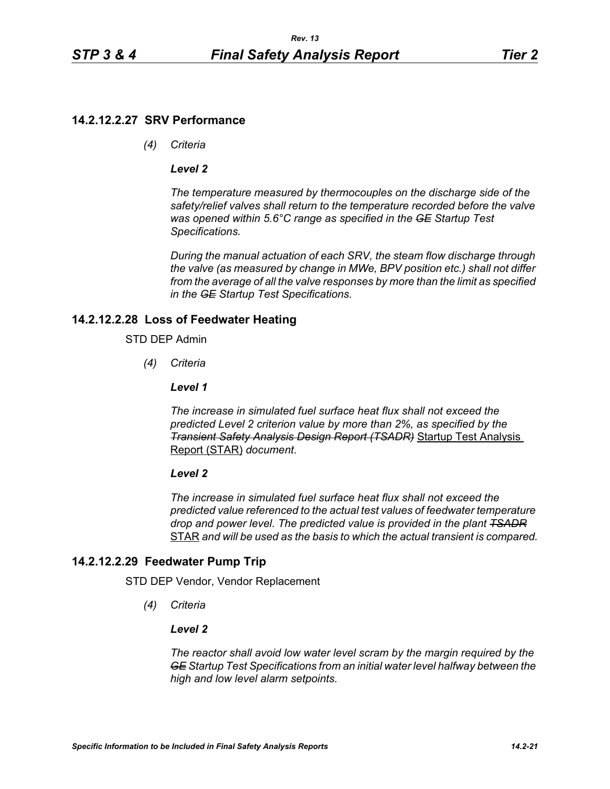## **14.2.12.2.27 SRV Performance**

*(4) Criteria*

### *Level 2*

*The temperature measured by thermocouples on the discharge side of the safety/relief valves shall return to the temperature recorded before the valve was opened within 5.6°C range as specified in the GE Startup Test Specifications.*

*During the manual actuation of each SRV, the steam flow discharge through the valve (as measured by change in MWe, BPV position etc.) shall not differ from the average of all the valve responses by more than the limit as specified in the GE Startup Test Specifications.*

## **14.2.12.2.28 Loss of Feedwater Heating**

### STD DEP Admin

*(4) Criteria*

### *Level 1*

*The increase in simulated fuel surface heat flux shall not exceed the predicted Level 2 criterion value by more than 2%, as specified by the Transient Safety Analysis Design Report (TSADR)* Startup Test Analysis Report (STAR) *document*.

### *Level 2*

*The increase in simulated fuel surface heat flux shall not exceed the predicted value referenced to the actual test values of feedwater temperature drop and power level. The predicted value is provided in the plant TSADR* STAR *and will be used as the basis to which the actual transient is compared.*

# **14.2.12.2.29 Feedwater Pump Trip**

STD DEP Vendor, Vendor Replacement

*(4) Criteria*

### *Level 2*

*The reactor shall avoid low water level scram by the margin required by the GE Startup Test Specifications from an initial water level halfway between the high and low level alarm setpoints.*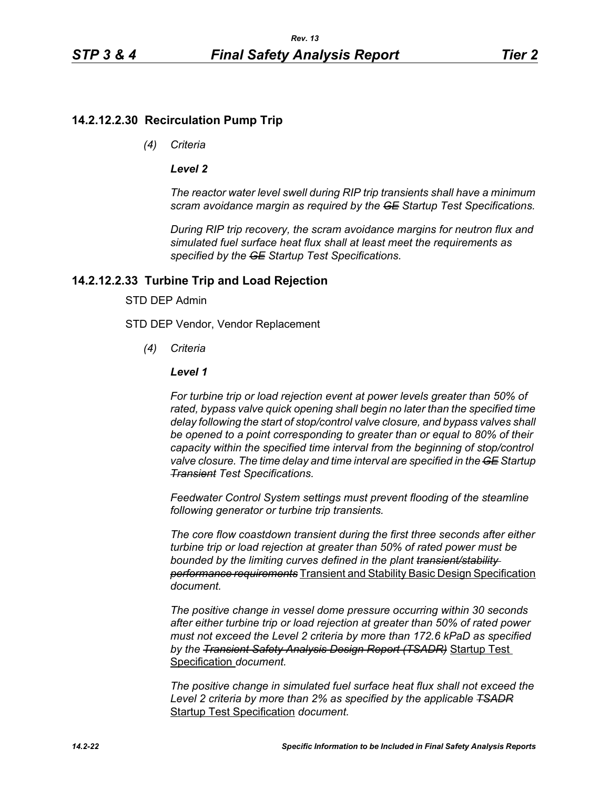## **14.2.12.2.30 Recirculation Pump Trip**

*(4) Criteria*

### *Level 2*

*The reactor water level swell during RIP trip transients shall have a minimum scram avoidance margin as required by the GE Startup Test Specifications.*

*During RIP trip recovery, the scram avoidance margins for neutron flux and simulated fuel surface heat flux shall at least meet the requirements as specified by the GE Startup Test Specifications.*

## **14.2.12.2.33 Turbine Trip and Load Rejection**

### STD DEP Admin

STD DEP Vendor, Vendor Replacement

*(4) Criteria*

### *Level 1*

*For turbine trip or load rejection event at power levels greater than 50% of rated, bypass valve quick opening shall begin no later than the specified time delay following the start of stop/control valve closure, and bypass valves shall be opened to a point corresponding to greater than or equal to 80% of their capacity within the specified time interval from the beginning of stop/control valve closure. The time delay and time interval are specified in the GE Startup Transient Test Specifications.*

*Feedwater Control System settings must prevent flooding of the steamline following generator or turbine trip transients.*

*The core flow coastdown transient during the first three seconds after either turbine trip or load rejection at greater than 50% of rated power must be bounded by the limiting curves defined in the plant transient/stability performance requirements* Transient and Stability Basic Design Specification *document.*

*The positive change in vessel dome pressure occurring within 30 seconds after either turbine trip or load rejection at greater than 50% of rated power must not exceed the Level 2 criteria by more than 172.6 kPaD as specified by the Transient Safety Analysis Design Report (TSADR)* Startup Test Specification *document.*

*The positive change in simulated fuel surface heat flux shall not exceed the Level 2 criteria by more than 2% as specified by the applicable TSADR* Startup Test Specification *document.*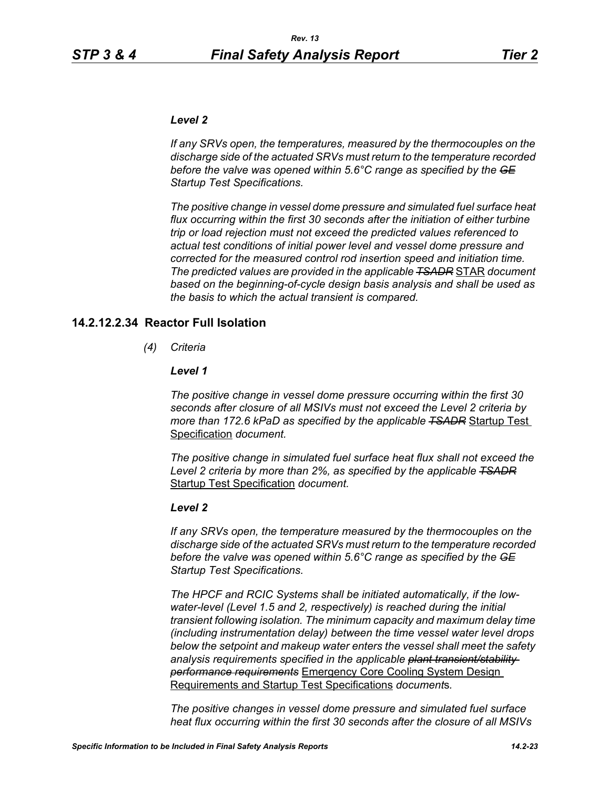### *Level 2*

*If any SRVs open, the temperatures, measured by the thermocouples on the discharge side of the actuated SRVs must return to the temperature recorded before the valve was opened within 5.6°C range as specified by the GE Startup Test Specifications.*

*The positive change in vessel dome pressure and simulated fuel surface heat flux occurring within the first 30 seconds after the initiation of either turbine trip or load rejection must not exceed the predicted values referenced to actual test conditions of initial power level and vessel dome pressure and corrected for the measured control rod insertion speed and initiation time. The predicted values are provided in the applicable TSADR* STAR *document based on the beginning-of-cycle design basis analysis and shall be used as the basis to which the actual transient is compared.*

### **14.2.12.2.34 Reactor Full Isolation**

*(4) Criteria*

### *Level 1*

*The positive change in vessel dome pressure occurring within the first 30 seconds after closure of all MSIVs must not exceed the Level 2 criteria by more than 172.6 kPaD as specified by the applicable TSADR* Startup Test Specification *document.*

*The positive change in simulated fuel surface heat flux shall not exceed the Level 2 criteria by more than 2%, as specified by the applicable TSADR* Startup Test Specification *document.*

#### *Level 2*

*If any SRVs open, the temperature measured by the thermocouples on the discharge side of the actuated SRVs must return to the temperature recorded before the valve was opened within 5.6°C range as specified by the GE Startup Test Specifications.*

*The HPCF and RCIC Systems shall be initiated automatically, if the lowwater-level (Level 1.5 and 2, respectively) is reached during the initial transient following isolation. The minimum capacity and maximum delay time (including instrumentation delay) between the time vessel water level drops below the setpoint and makeup water enters the vessel shall meet the safety analysis requirements specified in the applicable plant transient/stability performance requirements* Emergency Core Cooling System Design Requirements and Startup Test Specifications *document*s*.*

*The positive changes in vessel dome pressure and simulated fuel surface heat flux occurring within the first 30 seconds after the closure of all MSIVs*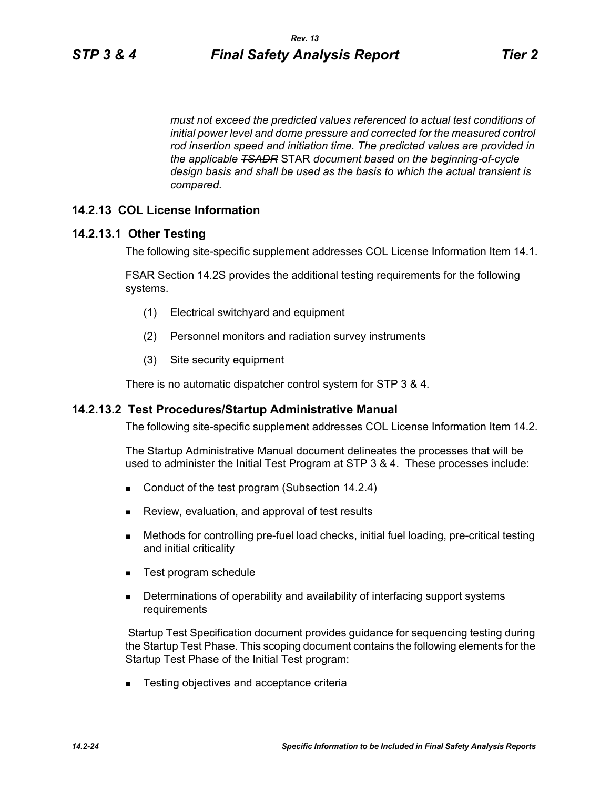*must not exceed the predicted values referenced to actual test conditions of initial power level and dome pressure and corrected for the measured control rod insertion speed and initiation time. The predicted values are provided in the applicable TSADR* STAR *document based on the beginning-of-cycle design basis and shall be used as the basis to which the actual transient is compared.*

## **14.2.13 COL License Information**

## **14.2.13.1 Other Testing**

The following site-specific supplement addresses COL License Information Item 14.1.

FSAR Section 14.2S provides the additional testing requirements for the following systems.

- (1) Electrical switchyard and equipment
- (2) Personnel monitors and radiation survey instruments
- (3) Site security equipment

There is no automatic dispatcher control system for STP 3 & 4.

### **14.2.13.2 Test Procedures/Startup Administrative Manual**

The following site-specific supplement addresses COL License Information Item 14.2.

The Startup Administrative Manual document delineates the processes that will be used to administer the Initial Test Program at STP 3 & 4. These processes include:

- Conduct of the test program (Subsection 14.2.4)
- Review, evaluation, and approval of test results
- Methods for controlling pre-fuel load checks, initial fuel loading, pre-critical testing and initial criticality
- Test program schedule
- **Determinations of operability and availability of interfacing support systems** requirements

 Startup Test Specification document provides guidance for sequencing testing during the Startup Test Phase. This scoping document contains the following elements for the Startup Test Phase of the Initial Test program:

■ Testing objectives and acceptance criteria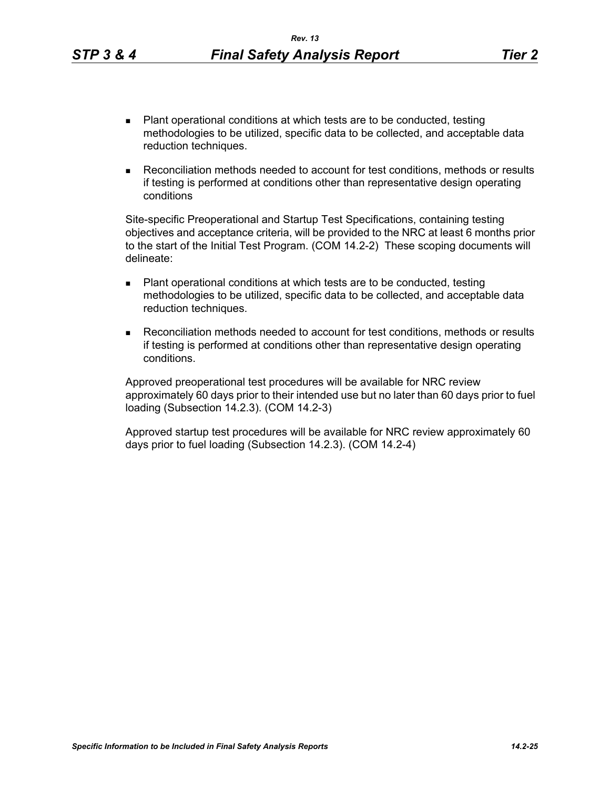- Plant operational conditions at which tests are to be conducted, testing methodologies to be utilized, specific data to be collected, and acceptable data reduction techniques.
- Reconciliation methods needed to account for test conditions, methods or results if testing is performed at conditions other than representative design operating conditions

Site-specific Preoperational and Startup Test Specifications, containing testing objectives and acceptance criteria, will be provided to the NRC at least 6 months prior to the start of the Initial Test Program. (COM 14.2-2) These scoping documents will delineate:

- Plant operational conditions at which tests are to be conducted, testing methodologies to be utilized, specific data to be collected, and acceptable data reduction techniques.
- Reconciliation methods needed to account for test conditions, methods or results if testing is performed at conditions other than representative design operating conditions.

Approved preoperational test procedures will be available for NRC review approximately 60 days prior to their intended use but no later than 60 days prior to fuel loading (Subsection 14.2.3). (COM 14.2-3)

Approved startup test procedures will be available for NRC review approximately 60 days prior to fuel loading (Subsection 14.2.3). (COM 14.2-4)